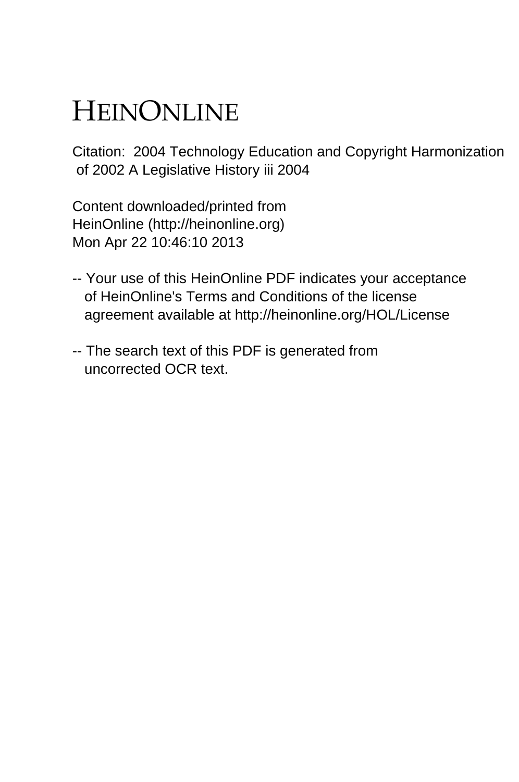# HEINONLINE

Citation: 2004 Technology Education and Copyright Harmonization of 2002 A Legislative History iii 2004

Content downloaded/printed from HeinOnline (http://heinonline.org) Mon Apr 22 10:46:10 2013

- -- Your use of this HeinOnline PDF indicates your acceptance of HeinOnline's Terms and Conditions of the license agreement available at http://heinonline.org/HOL/License
- -- The search text of this PDF is generated from uncorrected OCR text.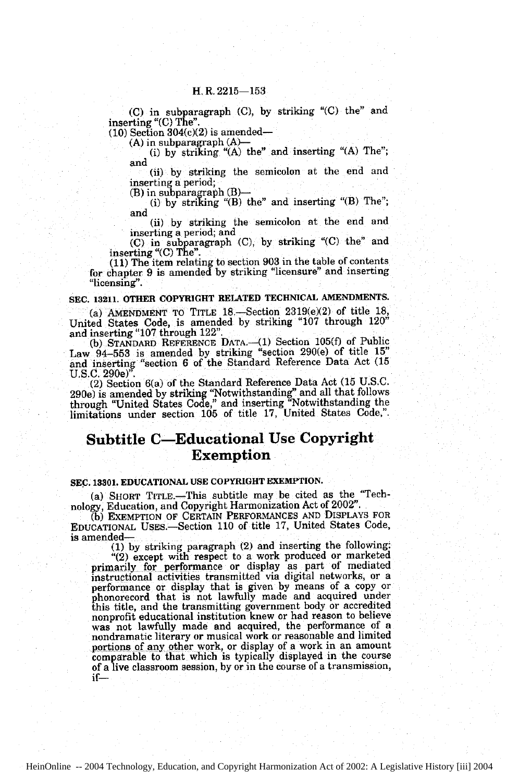(C) in subparagraph (C), by striking "(C) the" and inserting "(C) The".

 $(10)$  Section 304 $(c)(2)$  is amended-

(A) in subparagraph (A)-

(i) by striking "(A) the" and inserting "(A) The"; and

(ii) by striking the semicolon at the end and inserting a period;

(B) in subparagraph (B)-

(i) by striking "(B) the" and inserting "(B) The"; and

(ii) by striking the semicolon at the end and inserting a period; and

(C) in subparagraph (C), by striking "(C) the" and inserting "(C) The".

(11) The item relating to section 903 in the table of contents for chapter 9 is amended by striking "licensure" and inserting "licensing".

### **SEC. 13211.** OTHER **COPYRIGHT RELATED TECHNICAL AMENDMENTS.**

(a) **AMENDMENT** TO TITLE 18-Section 2319(e)(2) of title **18,** United States Code, is amended **by** striking **"107** through 120" and inserting **"107** through 122".

(b) **STANDARD** REFERENCE **DATA-(1)** Section 105(f) of Public Law 94-553 is amended by striking "section 290(e) of title 15" and inserting "section 6 of the Standard Reference Data Act (15 U.S.C. 290e)".

(2) Section 6(a) of the Standard Reference Data Act (15 U.S.C. 290e) is amended by striking "Notwithstanding" and all that follows through "United States Code," and inserting "Notwithstanding the limitations under section 105 of title 17, United States Code,

## **Subtitle C-Educational Use Copyright Exemption**

#### **SEC. 13301. EDUCATIONAL USE COPYRIGHT EXEMPTION.**

(a) SHORT TITLE.-This subtitle may be cited as the "Technology, Education, and Copyright Harmonization Act of 2002".

**(b)** EXEMPTION OF **CERTAIN** PERFORMANCES **AND** DISPLAYS FOR EDUCATIONAL USES.-Section 110 of title 17, United States Code, is amended-

**(1)** by striking paragraph (2) and inserting the following:

"(2) except with respect to a work produced or marketed primarily for performance or display as part of mediated instructional activities transmitted via digital networks, or a performance or display that is given by means of a copy or phonorecord that is not lawfully made and acquired under this title, and the transmitting government body or accredited nonprofit educational institution knew or had reason to believe was not lawfully made and acquired, the performance of a nondramatic literary or musical work or reasonable and limited portions of any other work, or display of a work in an amount comparable to that which is typically displayed in the course of a live classroom session, by or in the course of a transmission, if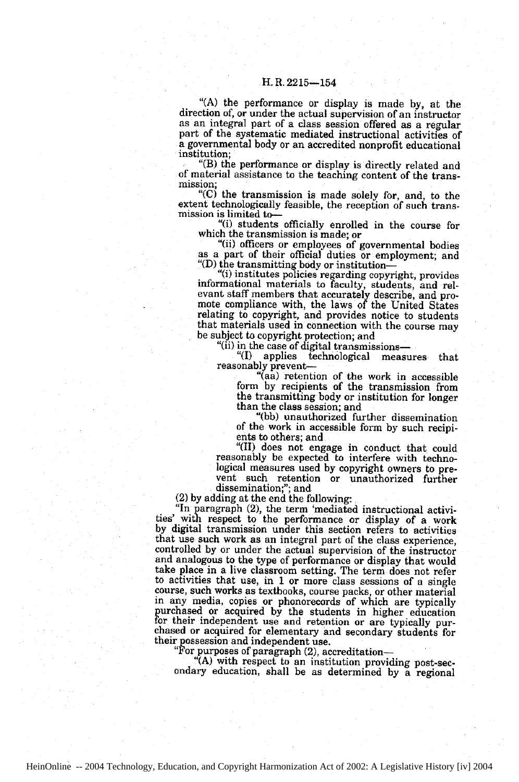" $(A)$  the performance or display is made by, at the direction of, or under the actual supervision of an instructor as an integral part of a class session offered as a regular<br>part of the systematic mediated instructional activities of<br>a governmental body or an accredited nonprofit educational institution;

"(B) the performance or display is directly related and of material assistance to the teaching content of the transmission;

"(C) the transmission is made solely for, and, to the extent technologically feasible, the reception of such transmission is limited to-

"(i) students officially enrolled in the course for which the transmission is made; or "(ii) officers or employees of governmental bodies as a part of their official duties or employment; and

"(D) the transmitting body or institution—<br>"(i) institutes policies regarding copyright, provides informational materials to faculty, students, and relevant staff members that accurately describe, and pro- mote compliance with, the laws of the United States relating to copyright, and provides notice to students that materials used in connection with the course may be subject to copyright protection; and

"(ii) in the case of digital transmissions-<br>"(I) applies technological measures that<br>reasonably prevent-

(aa) retention of the work in accessible form by recipients of the transmission from the transmitting body or institution for longer than the class session; and

"(bb) unauthorized further dissemination of the work in accessible form by such recipients to others; and

"(II) does not engage in conduct that could reasonably be expected to interfere with techno-<br>logical measures used by copyright owners to prevent such retention or unauthorized further dissemination;"; and<br>(2) by adding at the end the following:

"In paragraph (2), the term 'mediated instructional activities' with respect to the performance or display of a work **by** digital transmission under this section refers to activities controlled by or under the actual supervision of the instructor and analogous to the type of performance or display that would take place in a live classroom setting. The term does not refer to activities that use, in **1** or more class sessions of a single course, such works as textbooks, course packs, or other material purchased or acquired by the students in higher education<br>for their independent use and retention or are typically pur-<br>chased or acquired for elementary and secondary students for their possession and independent use.<br>"For purposes of paragraph (2), accreditation-<br>"A) with respect to an institution provid

"(A) with respect to an institution providing post-sec- ondary education, shall be as determined by a regional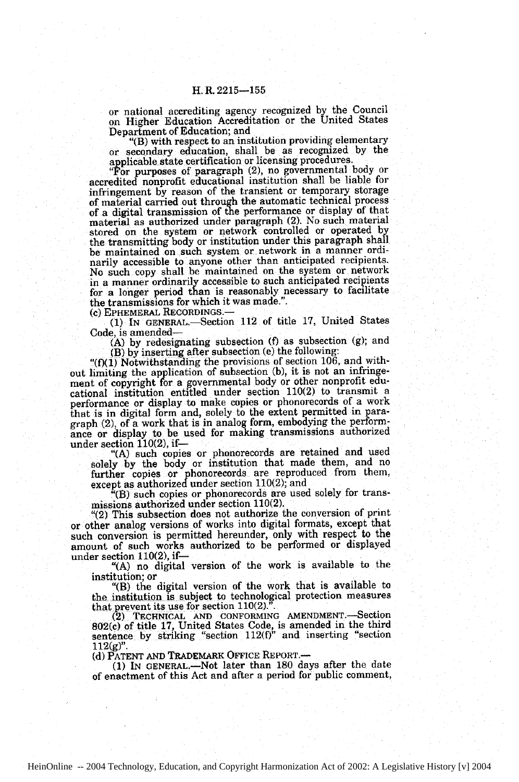or national accrediting agency recognized by the Council on Higher Education Accreditation or the United States Department of Education; and

"(B) with respect to an institution providing elementary or secondary education, shall be as recognized by the applicable state certification or licensing procedures.

or purposes of paragraph (2), no governmental body or accredited nonprofit educational institution shall be liable for infringement by reason of the transient or temporary storage of material carried out through the automatic technical process of a digital transmission of the performance or display of that material as authorized under paragraph (2). No such material stored on the system or network controlled or operated by the transmitting body or institution under this paragraph shall be maintained on such system or network in a manner ordinarily accessible to anyone other than anticipated recipients. No such copy shall be maintained on the system or network in a manner ordinarily accessible to such anticipated recipients for a longer period than is reasonably necessary to facilitate the transmissions for which it was made.".

(c) EPHEMERAL RECORDINGS.-

*(1)* **IN** GENERAL. Section 112 of title 17, United States Code, is amended-

**(A)** by redesignating subsection **(f)** as subsection (g); and (B) by inserting after subsection (e) the following:

" $(f)(1)$  Notwithstanding the provisions of section 106, and without limiting the application of subsection (b), it is not an infringement of copyright for a governmental body or other nonprofit educational institution entitled under section 110(2) to transmit a performance or display to make copies or phonorecords of a work that is in digital form and, solely to the extent permitted in paragraph (2), of a work that is in analog form, embodying the performance or display to be used for making transmissions authorized under section 110(2), if-

"(A) such copies or phonorecords are retained and used solely by the body or institution that made them, and no further copies or phonorecords are reproduced from them, except as authorized under section 110(2); and

"(B) such copies or phonorecords are used solely for transmissions authorized under section 110(2).

"(2) This subsection does not authorize the conversion of print or other analog versions of works into digital formats, except that such conversion is permitted hereunder, only with respect to the amount of such works authorized to be performed or displayed under section 110(2), if-

"(A) no digital version of the work is available to the institution; or

"(B) the digital version of the work that is available to the institution is subject to technological protection measures that prevent its use for section 110(2)."

(2) **TECHNICAL AND CONFORMING** AMENDMENT.-Section 802(c) of title **17,** United States Code, is amended in the third sentence by striking "section 112(f)" and inserting "section  $112(g)$ ".

(d) **PATENT AND** TRADEMARK **OFFICE** REPoRT.-

(1) IN GENERAL.-Not later than 180 days after the date of enactment of this Act and after a period for public comment,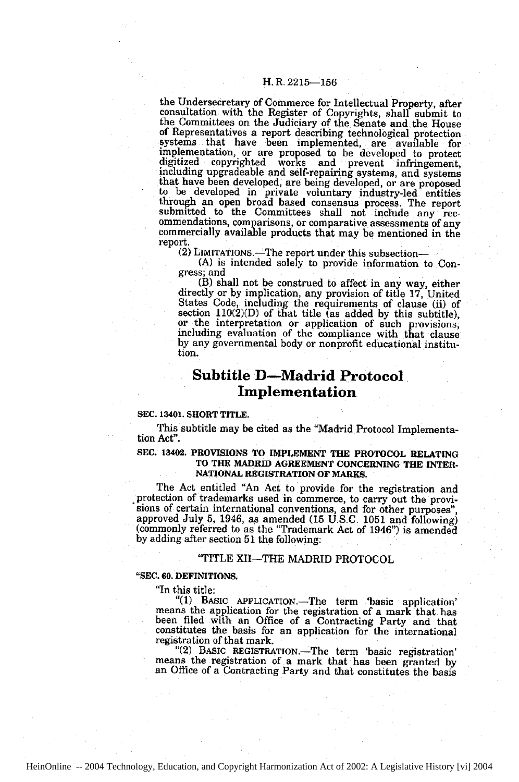the Undersecretary of Commerce for Intellectual Property, after consultation with the Register of Copyrights, shall submit to the Committees on the Judiciary of the Senate and the House of Representatives a report describing technological protection systems that have been implemented, are available for digitized copyrighted works and prevent infrigement,<br>including upgradeable and self-repairing systems, and systems<br>that have been developed, are being developed, or are proposed<br>to be developed in private voluntary industr

 $(2)$  LIMITATIONS.-The report under this subsection--

(A) is intended solely to provide information to Congress; and

(B) shall not be construed to affect in any way, either directly or by implication, any provision of title 17, United States Code, including the requirements of clause (ii) of section 110(2)(D) of that title (as added by this subtitle), or the interpretation or application of such provisions, including evaluation of the compliance with that clause by any governmental body or nonprofit educational institution.

## **Subtitle D-Madrid Protocol Implementation**

#### **SEC. 13401. SHORT TITLE.**

This subtitle may be cited as the "Madrid Protocol Implementa- tion Act".

#### **SEC. 13402. PROVISIONS TO IMPLEMENT THE PROTOCOL RELATING TO THE MADRID AGREEMENT CONCERNING THE INTER-NATIONAL REGISTRATION OF MARKS.**

The Act entitled "An Act to provide for the registration and protection of trademarks used in commerce, to carry out the provisions of certain international conventions, and for other purposes", approved July 5, 1946, as amended (15 U.S.C. 1051 and following) (commonly referred to a by adding after section 51 the following:

#### "TITLE XII-THE MADRID PROTOCOL

#### **"SEC. 60. DEFINITIONS.**

"In this title:

**"(1)** BAsic APPLICATION.-The term 'basic application' means the application for the registration of a mark that has been filed with an Office of a Contracting Party and that constitutes the basis for an application for the international

registration of that mark.<br>"(2) BASIC REGISTRATION.—The term 'basic registration' means the registration of a mark that has been granted by an Office of a Contracting Party and that constitutes the basis